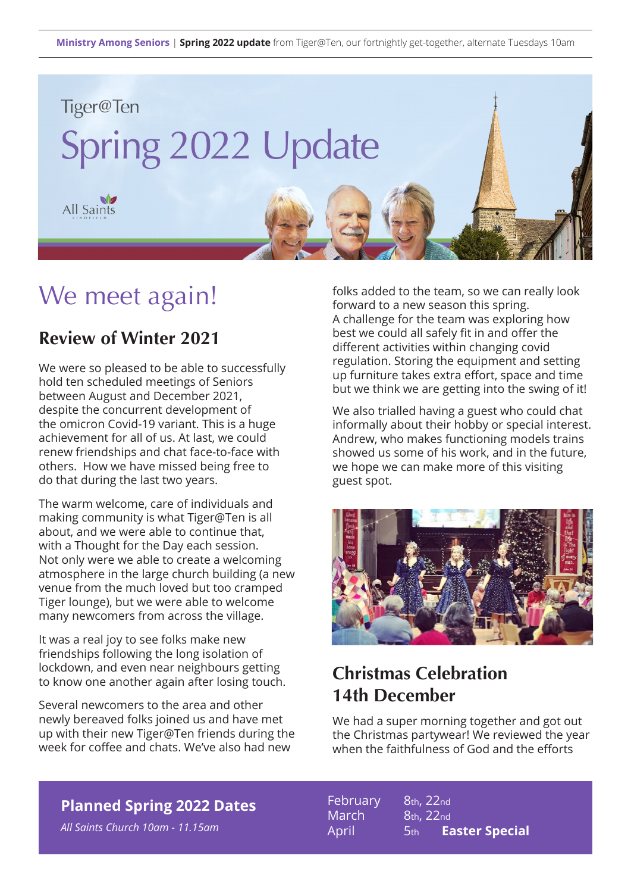

# We meet again!

### **Review of Winter 2021**

We were so pleased to be able to successfully hold ten scheduled meetings of Seniors between August and December 2021, despite the concurrent development of the omicron Covid-19 variant. This is a huge achievement for all of us. At last, we could renew friendships and chat face-to-face with others. How we have missed being free to do that during the last two years.

The warm welcome, care of individuals and making community is what Tiger@Ten is all about, and we were able to continue that, with a Thought for the Day each session. Not only were we able to create a welcoming atmosphere in the large church building (a new venue from the much loved but too cramped Tiger lounge), but we were able to welcome many newcomers from across the village.

It was a real joy to see folks make new friendships following the long isolation of lockdown, and even near neighbours getting to know one another again after losing touch.

Several newcomers to the area and other newly bereaved folks joined us and have met up with their new Tiger@Ten friends during the week for coffee and chats. We've also had new

folks added to the team, so we can really look forward to a new season this spring. A challenge for the team was exploring how best we could all safely fit in and offer the different activities within changing covid regulation. Storing the equipment and setting up furniture takes extra effort, space and time but we think we are getting into the swing of it!

We also trialled having a guest who could chat informally about their hobby or special interest. Andrew, who makes functioning models trains showed us some of his work, and in the future, we hope we can make more of this visiting guest spot.



## **Christmas Celebration 14th December**

We had a super morning together and got out the Christmas partywear! We reviewed the year when the faithfulness of God and the efforts

#### **Planned Spring 2022 Dates**

*All Saints Church 10am - 11.15am*

February 8th, 22nd March 8th, 22nd April 5th **Easter Special**